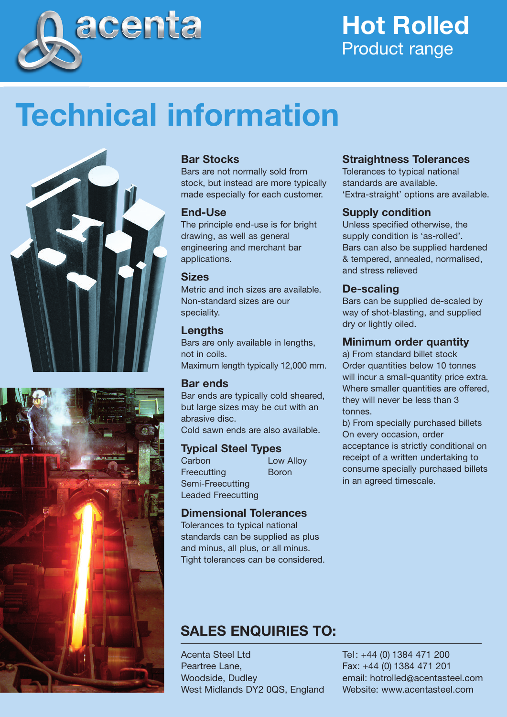

## **Hot Rolled** Product range

# **Technical information**





#### **Bar Stocks**

Bars are not normally sold from stock, but instead are more typically made especially for each customer.

#### **End-Use**

The principle end-use is for bright drawing, as well as general engineering and merchant bar applications.

#### **Sizes**

Metric and inch sizes are available. Non-standard sizes are our speciality.

#### **Lengths**

Bars are only available in lengths, not in coils. Maximum length typically 12,000 mm.

#### **Bar ends**

Bar ends are typically cold sheared, but large sizes may be cut with an abrasive disc. Cold sawn ends are also available.

#### **Typical Steel Types**

Carbon Low Alloy Freecutting **Boron** Semi-Freecutting Leaded Freecutting

#### **Dimensional Tolerances**

Tolerances to typical national standards can be supplied as plus and minus, all plus, or all minus. Tight tolerances can be considered.

#### **Straightness Tolerances**

Tolerances to typical national standards are available. 'Extra-straight' options are available.

#### **Supply condition**

Unless specified otherwise, the supply condition is 'as-rolled'. Bars can also be supplied hardened & tempered, annealed, normalised, and stress relieved

#### **De-scaling**

Bars can be supplied de-scaled by way of shot-blasting, and supplied dry or lightly oiled.

#### **Minimum order quantity**

a) From standard billet stock Order quantities below 10 tonnes will incur a small-quantity price extra. Where smaller quantities are offered, they will never be less than 3 tonnes.

b) From specially purchased billets On every occasion, order acceptance is strictly conditional on receipt of a written undertaking to consume specially purchased billets in an agreed timescale.

### **SALES ENQUIRIES TO:**

Acenta Steel Ltd Peartree Lane, Woodside, Dudley West Midlands DY2 0QS, England Tel: +44 (0) 1384 471 200 Fax: +44 (0) 1384 471 201 email: hotrolled@acentasteel.com Website: www.acentasteel.com